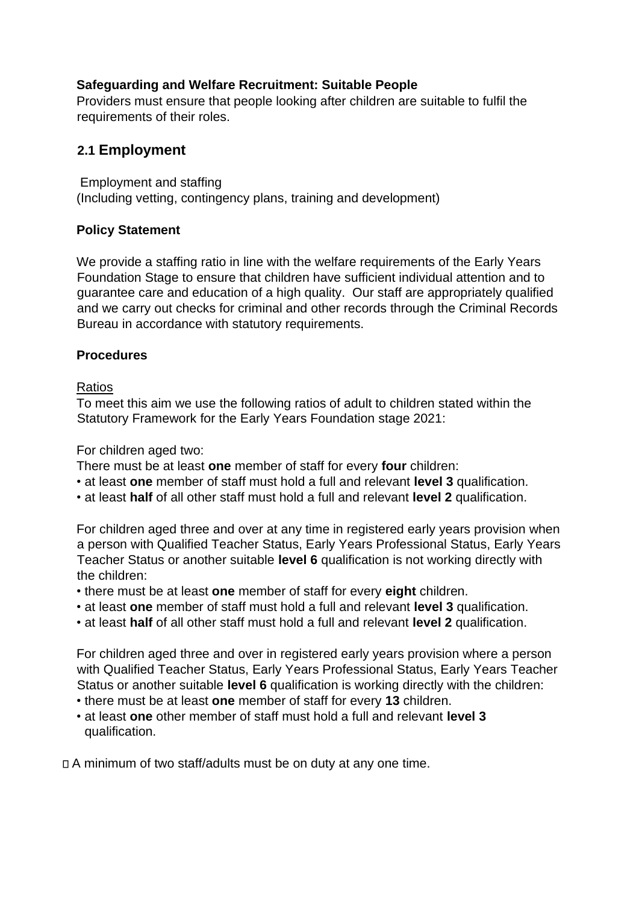### **Safeguarding and Welfare Recruitment: Suitable People**

Providers must ensure that people looking after children are suitable to fulfil the requirements of their roles.

# **2.1 Employment**

Employment and staffing (Including vetting, contingency plans, training and development)

### **Policy Statement**

We provide a staffing ratio in line with the welfare requirements of the Early Years Foundation Stage to ensure that children have sufficient individual attention and to guarantee care and education of a high quality. Our staff are appropriately qualified and we carry out checks for criminal and other records through the Criminal Records Bureau in accordance with statutory requirements.

## **Procedures**

### Ratios

To meet this aim we use the following ratios of adult to children stated within the Statutory Framework for the Early Years Foundation stage 2021:

For children aged two:

- There must be at least **one** member of staff for every **four** children:
- at least **one** member of staff must hold a full and relevant **level 3** qualification.
- at least **half** of all other staff must hold a full and relevant **level 2** qualification.

For children aged three and over at any time in registered early years provision when a person with Qualified Teacher Status, Early Years Professional Status, Early Years Teacher Status or another suitable **level 6** qualification is not working directly with the children:

- there must be at least **one** member of staff for every **eight** children.
- at least **one** member of staff must hold a full and relevant **level 3** qualification.
- at least **half** of all other staff must hold a full and relevant **level 2** qualification.

For children aged three and over in registered early years provision where a person with Qualified Teacher Status, Early Years Professional Status, Early Years Teacher Status or another suitable **level 6** qualification is working directly with the children:

- there must be at least **one** member of staff for every **13** children.
- at least **one** other member of staff must hold a full and relevant **level 3** qualification.

A minimum of two staff/adults must be on duty at any one time.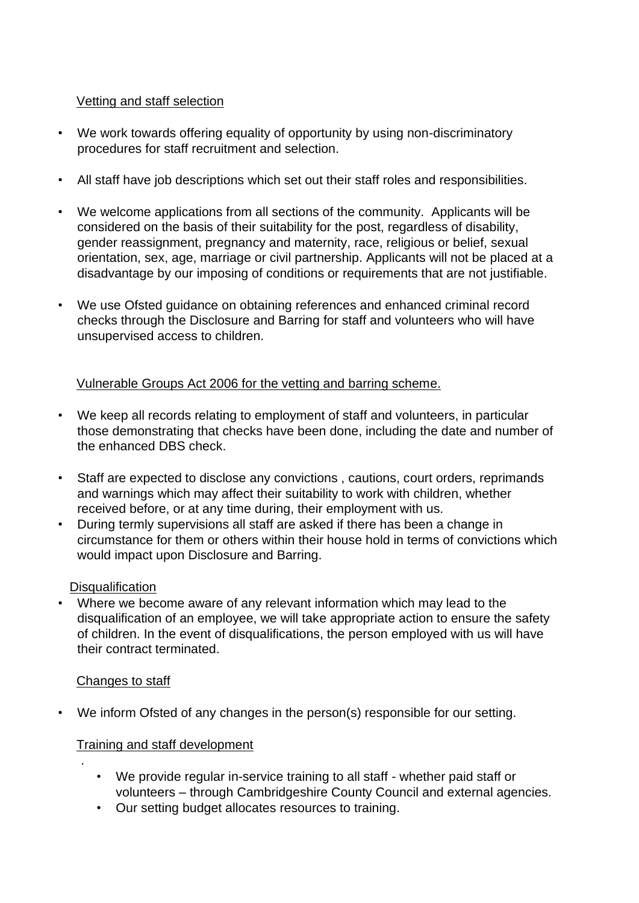### Vetting and staff selection

- We work towards offering equality of opportunity by using non-discriminatory procedures for staff recruitment and selection.
- All staff have job descriptions which set out their staff roles and responsibilities.
- We welcome applications from all sections of the community. Applicants will be considered on the basis of their suitability for the post, regardless of disability, gender reassignment, pregnancy and maternity, race, religious or belief, sexual orientation, sex, age, marriage or civil partnership. Applicants will not be placed at a disadvantage by our imposing of conditions or requirements that are not justifiable.
- We use Ofsted guidance on obtaining references and enhanced criminal record checks through the Disclosure and Barring for staff and volunteers who will have unsupervised access to children.

### Vulnerable Groups Act 2006 for the vetting and barring scheme.

- We keep all records relating to employment of staff and volunteers, in particular those demonstrating that checks have been done, including the date and number of the enhanced DBS check.
- Staff are expected to disclose any convictions , cautions, court orders, reprimands and warnings which may affect their suitability to work with children, whether received before, or at any time during, their employment with us.
- During termly supervisions all staff are asked if there has been a change in circumstance for them or others within their house hold in terms of convictions which would impact upon Disclosure and Barring.

#### **Disqualification**

• Where we become aware of any relevant information which may lead to the disqualification of an employee, we will take appropriate action to ensure the safety of children. In the event of disqualifications, the person employed with us will have their contract terminated.

#### Changes to staff

.

• We inform Ofsted of any changes in the person(s) responsible for our setting.

#### Training and staff development

- We provide regular in-service training to all staff whether paid staff or volunteers – through Cambridgeshire County Council and external agencies.
- Our setting budget allocates resources to training.